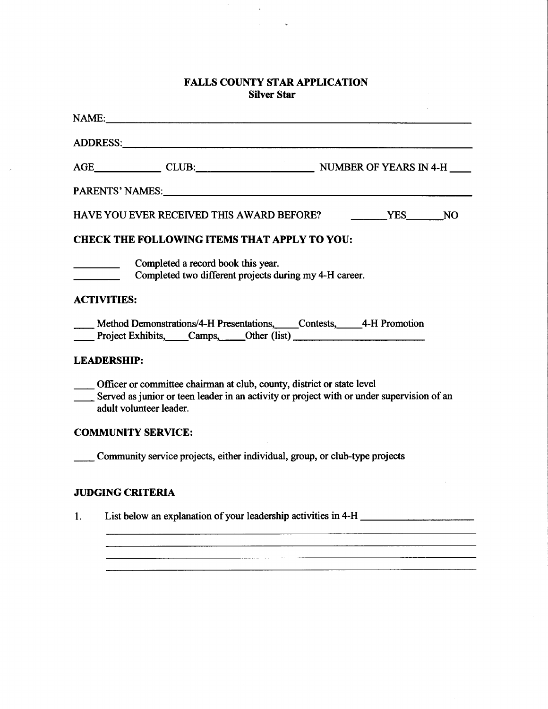## **FALLS COUNTY STAR APPLICATION Silver Star**

|    | <b>HAVE YOU EVER RECEIVED THIS AWARD BEFORE?</b>                                                                                                                                                 | <b>THES</b> NO |
|----|--------------------------------------------------------------------------------------------------------------------------------------------------------------------------------------------------|----------------|
|    | <b>CHECK THE FOLLOWING ITEMS THAT APPLY TO YOU:</b>                                                                                                                                              |                |
|    | Completed a record book this year.<br>$\overline{\phantom{a}}$<br>Completed two different projects during my 4-H career.                                                                         |                |
|    | <b>ACTIVITIES:</b>                                                                                                                                                                               |                |
|    | Method Demonstrations/4-H Presentations, Contests, 4-H Promotion<br>Project Exhibits, Camps, Other (list)                                                                                        |                |
|    | <b>LEADERSHIP:</b>                                                                                                                                                                               |                |
|    | - Officer or committee chairman at club, county, district or state level<br>Served as junior or teen leader in an activity or project with or under supervision of an<br>adult volunteer leader. |                |
|    | <b>COMMUNITY SERVICE:</b>                                                                                                                                                                        |                |
|    | Community service projects, either individual, group, or club-type projects                                                                                                                      |                |
|    | <b>JUDGING CRITERIA</b>                                                                                                                                                                          |                |
| 1. | List below an explanation of your leadership activities in 4-H                                                                                                                                   |                |